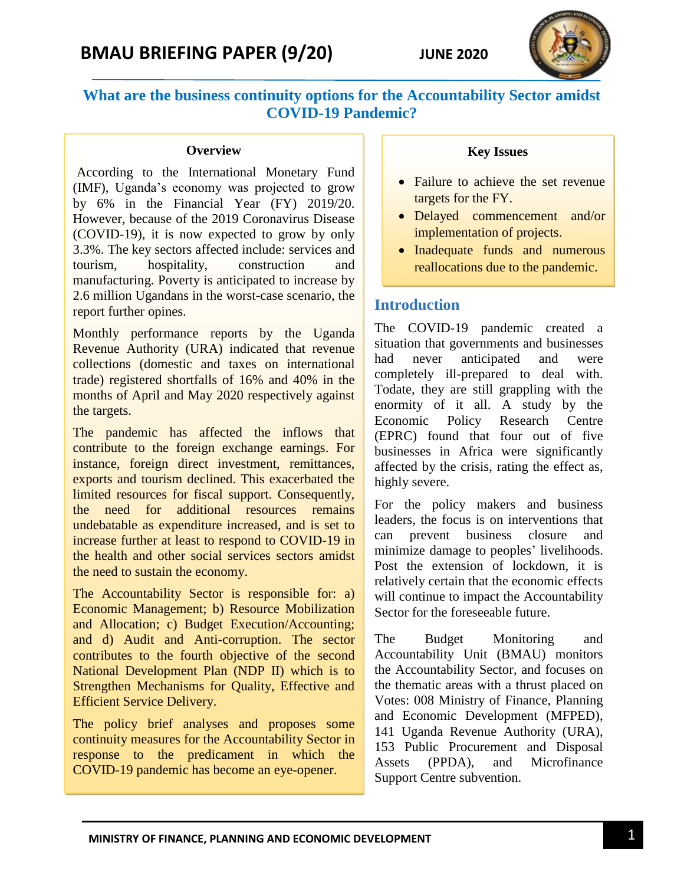# **What are the business continuity options for the Accountability Sector amidst COVID-19 Pandemic?**

#### **Overview**

According to the International Monetary Fund (IMF), Uganda's economy was projected to grow by 6% in the Financial Year (FY) 2019/20. However, because of the 2019 Coronavirus Disease (COVID-19), it is now expected to grow by only 3.3%. The key sectors affected include: services and tourism, hospitality, construction and manufacturing. Poverty is anticipated to increase by 2.6 million Ugandans in the worst-case scenario, the report further opines.

Monthly performance reports by the Uganda Revenue Authority (URA) indicated that revenue collections (domestic and taxes on international trade) registered shortfalls of 16% and 40% in the months of April and May 2020 respectively against the targets.

The pandemic has affected the inflows that contribute to the foreign exchange earnings. For instance, foreign direct investment, remittances, exports and tourism declined. This exacerbated the limited resources for fiscal support. Consequently, the need for additional resources remains undebatable as expenditure increased, and is set to increase further at least to respond to COVID-19 in the health and other social services sectors amidst the need to sustain the economy.

The Accountability Sector is responsible for: a) Economic Management; b) Resource Mobilization and Allocation; c) Budget Execution/Accounting; and d) Audit and Anti-corruption. The sector contributes to the fourth objective of the second National Development Plan (NDP II) which is to Strengthen Mechanisms for Quality, Effective and Efficient Service Delivery.

The policy brief analyses and proposes some continuity measures for the Accountability Sector in response to the predicament in which the COVID-19 pandemic has become an eye-opener.

#### **Key Issues**

- Failure to achieve the set revenue targets for the FY.
- Delayed commencement and/or implementation of projects.
- Inadequate funds and numerous reallocations due to the pandemic.

## **Introduction**

The COVID-19 pandemic created a situation that governments and businesses had never anticipated and were completely ill-prepared to deal with. Todate, they are still grappling with the enormity of it all. A study by the Economic Policy Research Centre (EPRC) found that four out of five businesses in Africa were significantly affected by the crisis, rating the effect as, highly severe.

For the policy makers and business leaders, the focus is on interventions that can prevent business closure and minimize damage to peoples' livelihoods. Post the extension of lockdown, it is relatively certain that the economic effects will continue to impact the Accountability Sector for the foreseeable future.

The Budget Monitoring and Accountability Unit (BMAU) monitors the Accountability Sector, and focuses on the thematic areas with a thrust placed on Votes: 008 Ministry of Finance, Planning and Economic Development (MFPED), 141 Uganda Revenue Authority (URA), 153 Public Procurement and Disposal Assets (PPDA), and Microfinance Support Centre subvention.

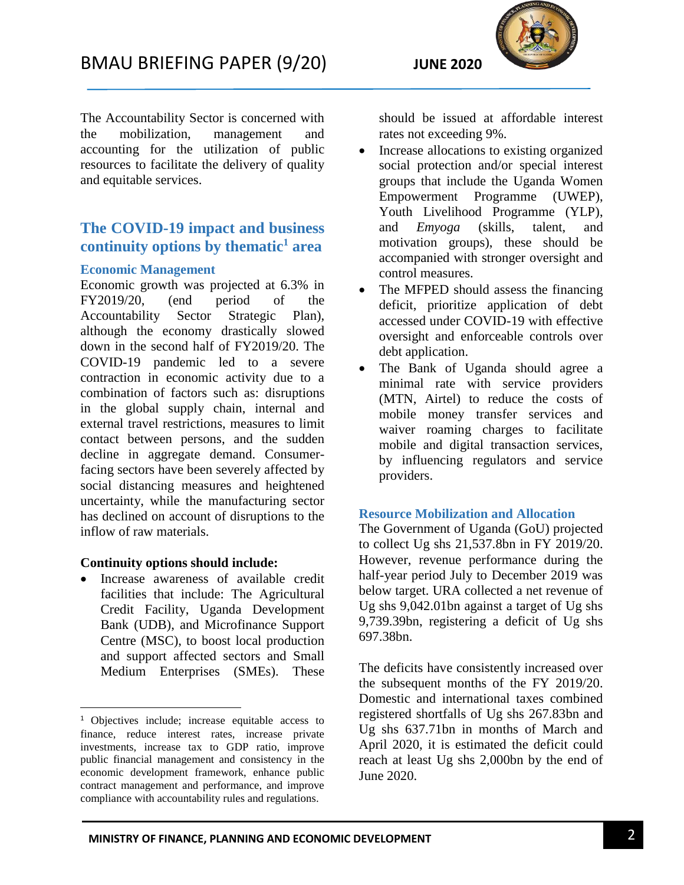

The Accountability Sector is concerned with the mobilization, management and accounting for the utilization of public resources to facilitate the delivery of quality and equitable services.

# **The COVID-19 impact and business continuity options by thematic<sup>1</sup> area**

#### **Economic Management**

Economic growth was projected at 6.3% in FY2019/20, (end period of the Accountability Sector Strategic Plan), although the economy drastically slowed down in the second half of FY2019/20. The COVID-19 pandemic led to a severe contraction in economic activity due to a combination of factors such as: disruptions in the global supply chain, internal and external travel restrictions, measures to limit contact between persons, and the sudden decline in aggregate demand. Consumerfacing sectors have been severely affected by social distancing measures and heightened uncertainty, while the manufacturing sector has declined on account of disruptions to the inflow of raw materials.

#### **Continuity options should include:**

 $\overline{\phantom{a}}$ 

 Increase awareness of available credit facilities that include: The Agricultural Credit Facility, Uganda Development Bank (UDB), and Microfinance Support Centre (MSC), to boost local production and support affected sectors and Small Medium Enterprises (SMEs). These

should be issued at affordable interest rates not exceeding 9%.

- Increase allocations to existing organized social protection and/or special interest groups that include the Uganda Women Empowerment Programme (UWEP), Youth Livelihood Programme (YLP), and *Emyoga* (skills, talent, and motivation groups), these should be accompanied with stronger oversight and control measures.
- The MFPED should assess the financing deficit, prioritize application of debt accessed under COVID-19 with effective oversight and enforceable controls over debt application.
- The Bank of Uganda should agree a minimal rate with service providers (MTN, Airtel) to reduce the costs of mobile money transfer services and waiver roaming charges to facilitate mobile and digital transaction services, by influencing regulators and service providers.

#### **Resource Mobilization and Allocation**

The Government of Uganda (GoU) projected to collect Ug shs 21,537.8bn in FY 2019/20. However, revenue performance during the half-year period July to December 2019 was below target. URA collected a net revenue of Ug shs 9,042.01bn against a target of Ug shs 9,739.39bn, registering a deficit of Ug shs 697.38bn.

The deficits have consistently increased over the subsequent months of the FY 2019/20. Domestic and international taxes combined registered shortfalls of Ug shs 267.83bn and Ug shs 637.71bn in months of March and April 2020, it is estimated the deficit could reach at least Ug shs 2,000bn by the end of June 2020.

<sup>&</sup>lt;sup>1</sup> Objectives include; increase equitable access to finance, reduce interest rates, increase private investments, increase tax to GDP ratio, improve public financial management and consistency in the economic development framework, enhance public contract management and performance, and improve compliance with accountability rules and regulations.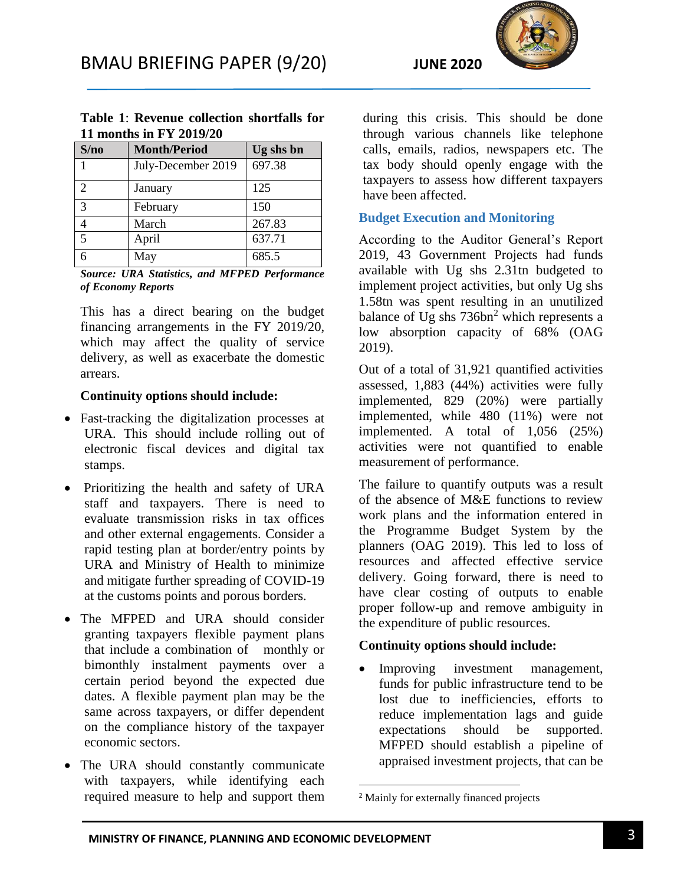

|                         | Table 1: Revenue collection shortfalls for |           |  |  |  |
|-------------------------|--------------------------------------------|-----------|--|--|--|
| 11 months in FY 2019/20 |                                            |           |  |  |  |
| S/no                    | Month/Period                               | Ug shs bn |  |  |  |

| S/no           | <b>Month/Period</b> | Ug shs bn |
|----------------|---------------------|-----------|
|                | July-December 2019  | 697.38    |
| $\overline{2}$ | January             | 125       |
| 3              | February            | 150       |
|                | March               | 267.83    |
| 5              | April               | 637.71    |
|                | May                 | 685.5     |

*Source: URA Statistics, and MFPED Performance of Economy Reports* 

This has a direct bearing on the budget financing arrangements in the FY 2019/20, which may affect the quality of service delivery, as well as exacerbate the domestic arrears.

#### **Continuity options should include:**

- Fast-tracking the digitalization processes at URA. This should include rolling out of electronic fiscal devices and digital tax stamps.
- Prioritizing the health and safety of URA staff and taxpayers. There is need to evaluate transmission risks in tax offices and other external engagements. Consider a rapid testing plan at border/entry points by URA and Ministry of Health to minimize and mitigate further spreading of COVID-19 at the customs points and porous borders.
- The MFPED and URA should consider granting taxpayers flexible payment plans that include a combination of monthly or bimonthly instalment payments over a certain period beyond the expected due dates. A flexible payment plan may be the same across taxpayers, or differ dependent on the compliance history of the taxpayer economic sectors.
- The URA should constantly communicate with taxpayers, while identifying each required measure to help and support them

during this crisis. This should be done through various channels like telephone calls, emails, radios, newspapers etc. The tax body should openly engage with the taxpayers to assess how different taxpayers have been affected.

## **Budget Execution and Monitoring**

According to the Auditor General's Report 2019, 43 Government Projects had funds available with Ug shs 2.31tn budgeted to implement project activities, but only Ug shs 1.58tn was spent resulting in an unutilized balance of Ug shs  $736bn^2$  which represents a low absorption capacity of 68% (OAG 2019).

Out of a total of 31,921 quantified activities assessed, 1,883 (44%) activities were fully implemented, 829 (20%) were partially implemented, while 480 (11%) were not implemented. A total of 1,056 (25%) activities were not quantified to enable measurement of performance.

The failure to quantify outputs was a result of the absence of M&E functions to review work plans and the information entered in the Programme Budget System by the planners (OAG 2019). This led to loss of resources and affected effective service delivery. Going forward, there is need to have clear costing of outputs to enable proper follow-up and remove ambiguity in the expenditure of public resources.

## **Continuity options should include:**

• Improving investment management, funds for public infrastructure tend to be lost due to inefficiencies, efforts to reduce implementation lags and guide expectations should be supported. MFPED should establish a pipeline of appraised investment projects, that can be

 $\overline{\phantom{a}}$ 

<sup>2</sup> Mainly for externally financed projects